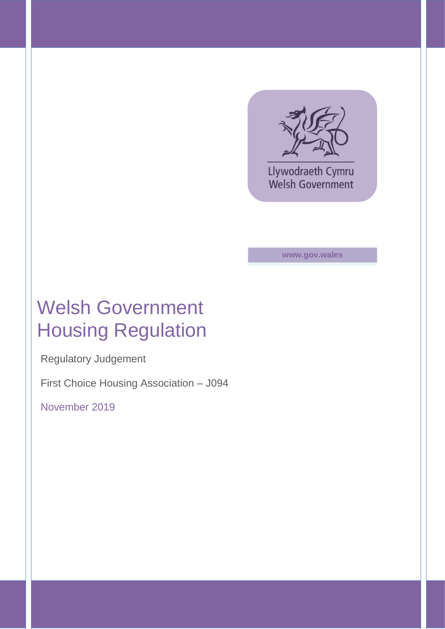

Llywodraeth Cymru **Welsh Government** 

**www.gov.wales**

# Welsh Government Housing Regulation

Regulatory Judgement

First Choice Housing Association – J094

November 2019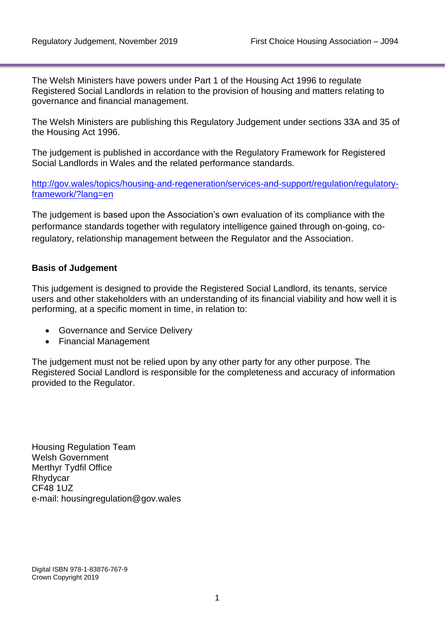The Welsh Ministers have powers under Part 1 of the Housing Act 1996 to regulate Registered Social Landlords in relation to the provision of housing and matters relating to governance and financial management.

The Welsh Ministers are publishing this Regulatory Judgement under sections 33A and 35 of the Housing Act 1996.

The judgement is published in accordance with the Regulatory Framework for Registered Social Landlords in Wales and the related performance standards.

[http://gov.wales/topics/housing-and-regeneration/services-and-support/regulation/regulatory](http://gov.wales/topics/housing-and-regeneration/services-and-support/regulation/regulatory-framework/?lang=en)[framework/?lang=en](http://gov.wales/topics/housing-and-regeneration/services-and-support/regulation/regulatory-framework/?lang=en)

The judgement is based upon the Association's own evaluation of its compliance with the performance standards together with regulatory intelligence gained through on-going, coregulatory, relationship management between the Regulator and the Association.

### **Basis of Judgement**

This judgement is designed to provide the Registered Social Landlord, its tenants, service users and other stakeholders with an understanding of its financial viability and how well it is performing, at a specific moment in time, in relation to:

- Governance and Service Delivery
- Financial Management

The judgement must not be relied upon by any other party for any other purpose. The Registered Social Landlord is responsible for the completeness and accuracy of information provided to the Regulator.

Housing Regulation Team Welsh Government Merthyr Tydfil Office Rhydycar CF48 1UZ e-mail: housingregulation@gov.wales

Digital ISBN 978-1-83876-767-9 Crown Copyright 2019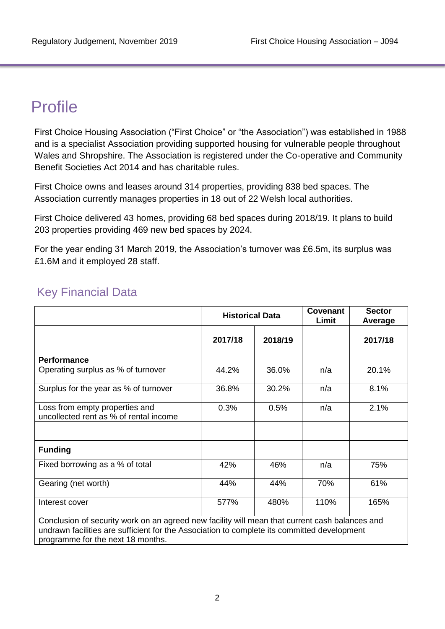## Profile

First Choice Housing Association ("First Choice" or "the Association") was established in 1988 and is a specialist Association providing supported housing for vulnerable people throughout Wales and Shropshire. The Association is registered under the Co-operative and Community Benefit Societies Act 2014 and has charitable rules.

First Choice owns and leases around 314 properties, providing 838 bed spaces. The Association currently manages properties in 18 out of 22 Welsh local authorities.

First Choice delivered 43 homes, providing 68 bed spaces during 2018/19. It plans to build 203 properties providing 469 new bed spaces by 2024.

For the year ending 31 March 2019, the Association's turnover was £6.5m, its surplus was £1.6M and it employed 28 staff.

|                                                                                                                                                                                               | <b>Historical Data</b> |         | Covenant<br>Limit | <b>Sector</b><br>Average |
|-----------------------------------------------------------------------------------------------------------------------------------------------------------------------------------------------|------------------------|---------|-------------------|--------------------------|
|                                                                                                                                                                                               | 2017/18                | 2018/19 |                   | 2017/18                  |
| <b>Performance</b>                                                                                                                                                                            |                        |         |                   |                          |
| Operating surplus as % of turnover                                                                                                                                                            | 44.2%                  | 36.0%   | n/a               | 20.1%                    |
| Surplus for the year as % of turnover                                                                                                                                                         | 36.8%                  | 30.2%   | n/a               | 8.1%                     |
| Loss from empty properties and<br>uncollected rent as % of rental income                                                                                                                      | 0.3%                   | 0.5%    | n/a               | 2.1%                     |
| <b>Funding</b>                                                                                                                                                                                |                        |         |                   |                          |
| Fixed borrowing as a % of total                                                                                                                                                               | 42%                    | 46%     | n/a               | 75%                      |
| Gearing (net worth)                                                                                                                                                                           | 44%                    | 44%     | 70%               | 61%                      |
| Interest cover                                                                                                                                                                                | 577%                   | 480%    | 110%              | 165%                     |
| Conclusion of security work on an agreed new facility will mean that current cash balances and<br>undrown fooilities are sufficient for the Association to complete its committed development |                        |         |                   |                          |

### Key Financial Data

undrawn facilities are sufficient for the Association to complete its committed development programme for the next 18 months.